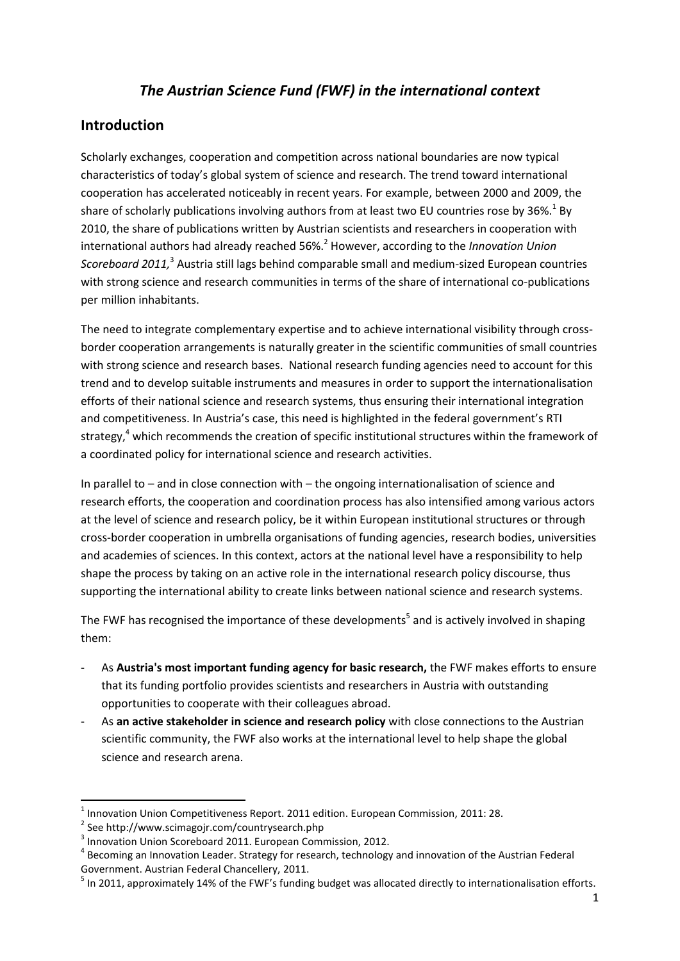# *The Austrian Science Fund (FWF) in the international context*

# **Introduction**

Scholarly exchanges, cooperation and competition across national boundaries are now typical characteristics of today's global system of science and research. The trend toward international cooperation has accelerated noticeably in recent years. For example, between 2000 and 2009, the share of scholarly publications involving authors from at least two EU countries rose by 36%.<sup>1</sup> By 2010, the share of publications written by Austrian scientists and researchers in cooperation with international authors had already reached 56%.<sup>2</sup> However, according to the *Innovation Union*  Scoreboard 2011,<sup>3</sup> Austria still lags behind comparable small and medium-sized European countries with strong science and research communities in terms of the share of international co-publications per million inhabitants.

The need to integrate complementary expertise and to achieve international visibility through crossborder cooperation arrangements is naturally greater in the scientific communities of small countries with strong science and research bases. National research funding agencies need to account for this trend and to develop suitable instruments and measures in order to support the internationalisation efforts of their national science and research systems, thus ensuring their international integration and competitiveness. In Austria's case, this need is highlighted in the federal government's RTI strategy,<sup>4</sup> which recommends the creation of specific institutional structures within the framework of a coordinated policy for international science and research activities.

In parallel to – and in close connection with – the ongoing internationalisation of science and research efforts, the cooperation and coordination process has also intensified among various actors at the level of science and research policy, be it within European institutional structures or through cross-border cooperation in umbrella organisations of funding agencies, research bodies, universities and academies of sciences. In this context, actors at the national level have a responsibility to help shape the process by taking on an active role in the international research policy discourse, thus supporting the international ability to create links between national science and research systems.

The FWF has recognised the importance of these developments<sup>5</sup> and is actively involved in shaping them:

- As **Austria's most important funding agency for basic research,** the FWF makes efforts to ensure that its funding portfolio provides scientists and researchers in Austria with outstanding opportunities to cooperate with their colleagues abroad.
- As **an active stakeholder in science and research policy** with close connections to the Austrian scientific community, the FWF also works at the international level to help shape the global science and research arena.

 $<sup>1</sup>$  Innovation Union Competitiveness Report. 2011 edition. European Commission, 2011: 28.</sup>

<sup>2</sup> See http://www.scimagojr.com/countrysearch.php

<sup>&</sup>lt;sup>3</sup> Innovation Union Scoreboard 2011. European Commission, 2012.

<sup>&</sup>lt;sup>4</sup> Becoming an Innovation Leader. Strategy for research, technology and innovation of the Austrian Federal Government. Austrian Federal Chancellery, 2011.

 $<sup>5</sup>$  In 2011, approximately 14% of the FWF's funding budget was allocated directly to internationalisation efforts.</sup>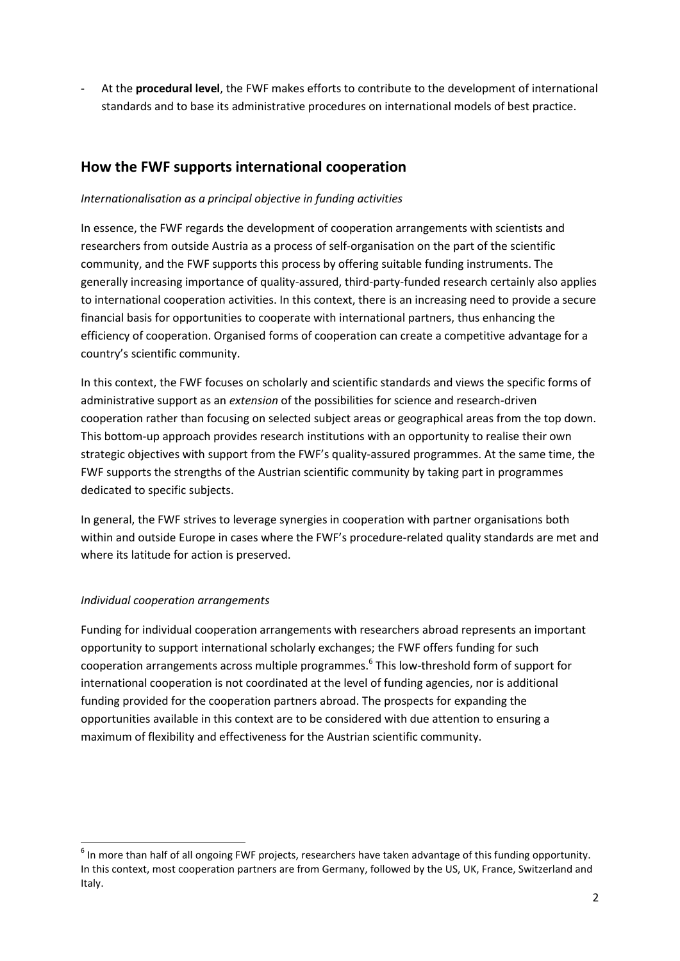- At the **procedural level**, the FWF makes efforts to contribute to the development of international standards and to base its administrative procedures on international models of best practice.

## **How the FWF supports international cooperation**

## *Internationalisation as a principal objective in funding activities*

In essence, the FWF regards the development of cooperation arrangements with scientists and researchers from outside Austria as a process of self-organisation on the part of the scientific community, and the FWF supports this process by offering suitable funding instruments. The generally increasing importance of quality-assured, third-party-funded research certainly also applies to international cooperation activities. In this context, there is an increasing need to provide a secure financial basis for opportunities to cooperate with international partners, thus enhancing the efficiency of cooperation. Organised forms of cooperation can create a competitive advantage for a country's scientific community.

In this context, the FWF focuses on scholarly and scientific standards and views the specific forms of administrative support as an *extension* of the possibilities for science and research-driven cooperation rather than focusing on selected subject areas or geographical areas from the top down. This bottom-up approach provides research institutions with an opportunity to realise their own strategic objectives with support from the FWF's quality-assured programmes. At the same time, the FWF supports the strengths of the Austrian scientific community by taking part in programmes dedicated to specific subjects.

In general, the FWF strives to leverage synergies in cooperation with partner organisations both within and outside Europe in cases where the FWF's procedure-related quality standards are met and where its latitude for action is preserved.

### *Individual cooperation arrangements*

**.** 

Funding for individual cooperation arrangements with researchers abroad represents an important opportunity to support international scholarly exchanges; the FWF offers funding for such cooperation arrangements across multiple programmes.<sup>6</sup> This low-threshold form of support for international cooperation is not coordinated at the level of funding agencies, nor is additional funding provided for the cooperation partners abroad. The prospects for expanding the opportunities available in this context are to be considered with due attention to ensuring a maximum of flexibility and effectiveness for the Austrian scientific community.

 $^6$  In more than half of all ongoing FWF projects, researchers have taken advantage of this funding opportunity. In this context, most cooperation partners are from Germany, followed by the US, UK, France, Switzerland and Italy.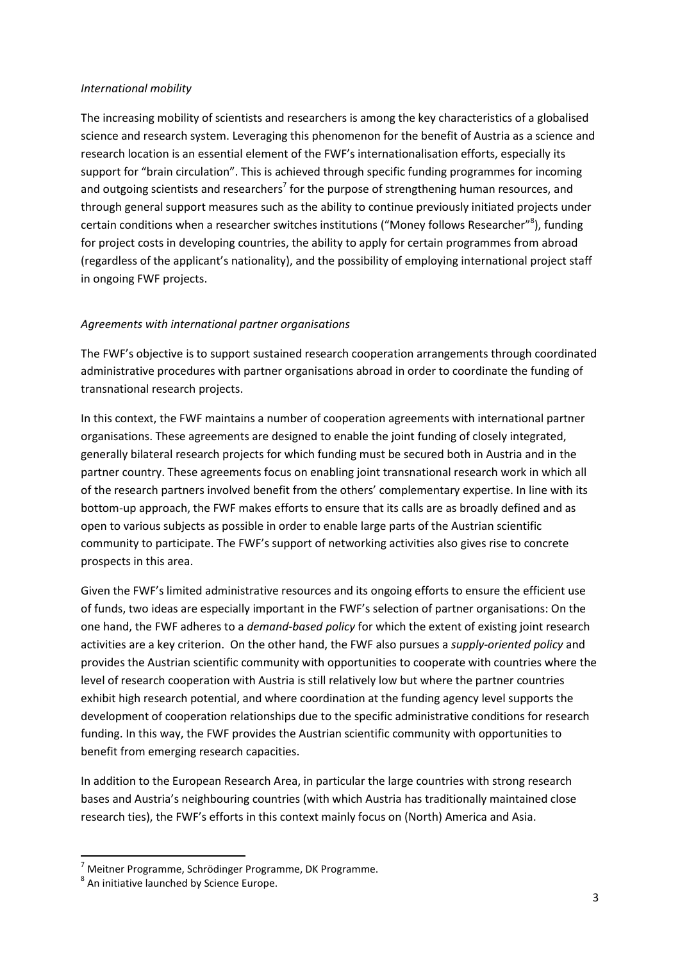### *International mobility*

The increasing mobility of scientists and researchers is among the key characteristics of a globalised science and research system. Leveraging this phenomenon for the benefit of Austria as a science and research location is an essential element of the FWF's internationalisation efforts, especially its support for "brain circulation". This is achieved through specific funding programmes for incoming and outgoing scientists and researchers<sup>7</sup> for the purpose of strengthening human resources, and through general support measures such as the ability to continue previously initiated projects under certain conditions when a researcher switches institutions ("Money follows Researcher"<sup>8</sup>), funding for project costs in developing countries, the ability to apply for certain programmes from abroad (regardless of the applicant's nationality), and the possibility of employing international project staff in ongoing FWF projects.

### *Agreements with international partner organisations*

The FWF's objective is to support sustained research cooperation arrangements through coordinated administrative procedures with partner organisations abroad in order to coordinate the funding of transnational research projects.

In this context, the FWF maintains a number of cooperation agreements with international partner organisations. These agreements are designed to enable the joint funding of closely integrated, generally bilateral research projects for which funding must be secured both in Austria and in the partner country. These agreements focus on enabling joint transnational research work in which all of the research partners involved benefit from the others' complementary expertise. In line with its bottom-up approach, the FWF makes efforts to ensure that its calls are as broadly defined and as open to various subjects as possible in order to enable large parts of the Austrian scientific community to participate. The FWF's support of networking activities also gives rise to concrete prospects in this area.

Given the FWF's limited administrative resources and its ongoing efforts to ensure the efficient use of funds, two ideas are especially important in the FWF's selection of partner organisations: On the one hand, the FWF adheres to a *demand-based policy* for which the extent of existing joint research activities are a key criterion. On the other hand, the FWF also pursues a *supply-oriented policy* and provides the Austrian scientific community with opportunities to cooperate with countries where the level of research cooperation with Austria is still relatively low but where the partner countries exhibit high research potential, and where coordination at the funding agency level supports the development of cooperation relationships due to the specific administrative conditions for research funding. In this way, the FWF provides the Austrian scientific community with opportunities to benefit from emerging research capacities.

In addition to the European Research Area, in particular the large countries with strong research bases and Austria's neighbouring countries (with which Austria has traditionally maintained close research ties), the FWF's efforts in this context mainly focus on (North) America and Asia.

1

<sup>&</sup>lt;sup>7</sup> Meitner Programme, Schrödinger Programme, DK Programme.

<sup>&</sup>lt;sup>8</sup> An initiative launched by Science Europe.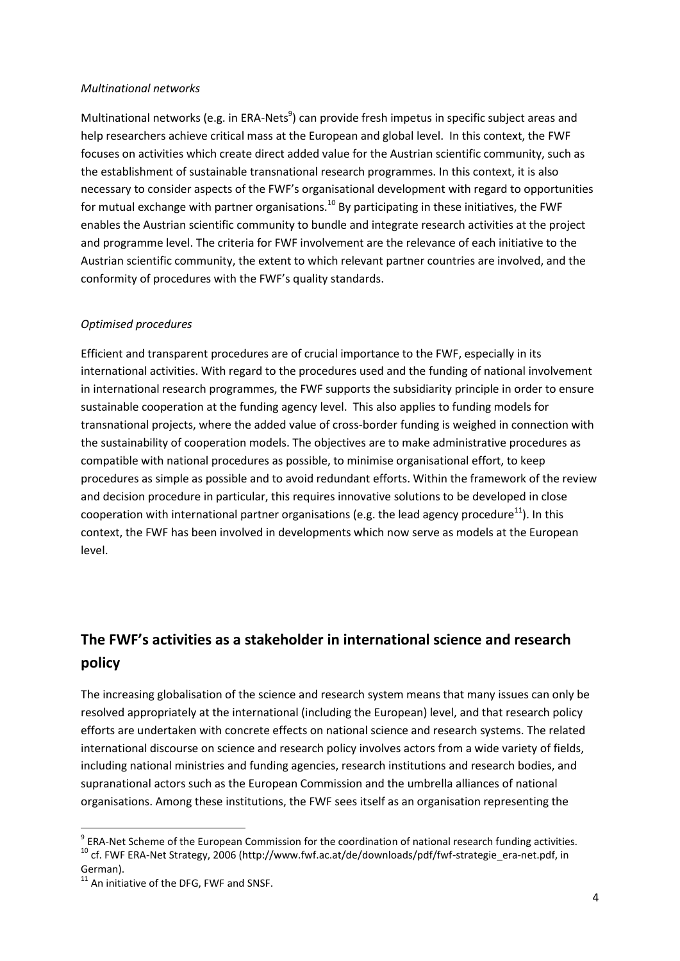#### *Multinational networks*

Multinational networks (e.g. in ERA-Nets<sup>9</sup>) can provide fresh impetus in specific subject areas and help researchers achieve critical mass at the European and global level. In this context, the FWF focuses on activities which create direct added value for the Austrian scientific community, such as the establishment of sustainable transnational research programmes. In this context, it is also necessary to consider aspects of the FWF's organisational development with regard to opportunities for mutual exchange with partner organisations.<sup>10</sup> By participating in these initiatives, the FWF enables the Austrian scientific community to bundle and integrate research activities at the project and programme level. The criteria for FWF involvement are the relevance of each initiative to the Austrian scientific community, the extent to which relevant partner countries are involved, and the conformity of procedures with the FWF's quality standards.

### *Optimised procedures*

Efficient and transparent procedures are of crucial importance to the FWF, especially in its international activities. With regard to the procedures used and the funding of national involvement in international research programmes, the FWF supports the subsidiarity principle in order to ensure sustainable cooperation at the funding agency level. This also applies to funding models for transnational projects, where the added value of cross-border funding is weighed in connection with the sustainability of cooperation models. The objectives are to make administrative procedures as compatible with national procedures as possible, to minimise organisational effort, to keep procedures as simple as possible and to avoid redundant efforts. Within the framework of the review and decision procedure in particular, this requires innovative solutions to be developed in close cooperation with international partner organisations (e.g. the lead agency procedure<sup>11</sup>). In this context, the FWF has been involved in developments which now serve as models at the European level.

# **The FWF's activities as a stakeholder in international science and research policy**

The increasing globalisation of the science and research system means that many issues can only be resolved appropriately at the international (including the European) level, and that research policy efforts are undertaken with concrete effects on national science and research systems. The related international discourse on science and research policy involves actors from a wide variety of fields, including national ministries and funding agencies, research institutions and research bodies, and supranational actors such as the European Commission and the umbrella alliances of national organisations. Among these institutions, the FWF sees itself as an organisation representing the

<sup>&</sup>lt;sup>9</sup> ERA-Net Scheme of the European Commission for the coordination of national research funding activities. <sup>10</sup> cf. FWF ERA-Net Strategy, 2006 (http://www.fwf.ac.at/de/downloads/pdf/fwf-strategie\_era-net.pdf, in German).

 $11$  An initiative of the DFG. FWF and SNSF.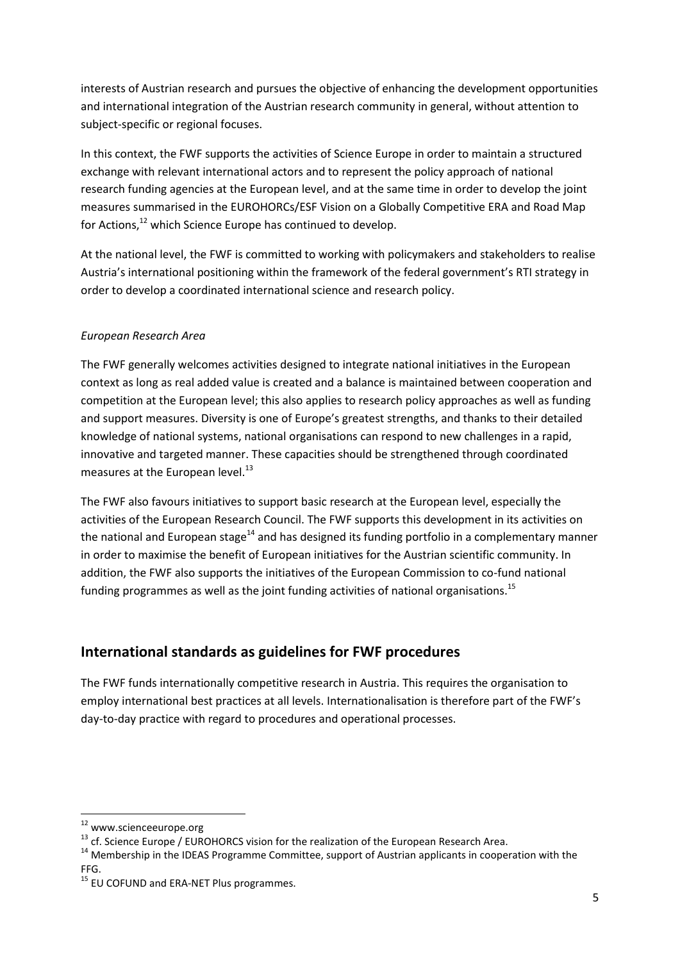interests of Austrian research and pursues the objective of enhancing the development opportunities and international integration of the Austrian research community in general, without attention to subject-specific or regional focuses.

In this context, the FWF supports the activities of Science Europe in order to maintain a structured exchange with relevant international actors and to represent the policy approach of national research funding agencies at the European level, and at the same time in order to develop the joint measures summarised in the EUROHORCs/ESF Vision on a Globally Competitive ERA and Road Map for Actions,<sup>12</sup> which Science Europe has continued to develop.

At the national level, the FWF is committed to working with policymakers and stakeholders to realise Austria's international positioning within the framework of the federal government's RTI strategy in order to develop a coordinated international science and research policy.

## *European Research Area*

The FWF generally welcomes activities designed to integrate national initiatives in the European context as long as real added value is created and a balance is maintained between cooperation and competition at the European level; this also applies to research policy approaches as well as funding and support measures. Diversity is one of Europe's greatest strengths, and thanks to their detailed knowledge of national systems, national organisations can respond to new challenges in a rapid, innovative and targeted manner. These capacities should be strengthened through coordinated measures at the European level. $^{13}$ 

The FWF also favours initiatives to support basic research at the European level, especially the activities of the European Research Council. The FWF supports this development in its activities on the national and European stage<sup>14</sup> and has designed its funding portfolio in a complementary manner in order to maximise the benefit of European initiatives for the Austrian scientific community. In addition, the FWF also supports the initiatives of the European Commission to co-fund national funding programmes as well as the joint funding activities of national organisations.<sup>15</sup>

# **International standards as guidelines for FWF procedures**

The FWF funds internationally competitive research in Austria. This requires the organisation to employ international best practices at all levels. Internationalisation is therefore part of the FWF's day-to-day practice with regard to procedures and operational processes.

<sup>12</sup> www.scienceeurope.org

<sup>&</sup>lt;sup>13</sup> cf. Science Europe / EUROHORCS vision for the realization of the European Research Area.

<sup>&</sup>lt;sup>14</sup> Membership in the IDEAS Programme Committee, support of Austrian applicants in cooperation with the FFG.

<sup>&</sup>lt;sup>15</sup> EU COFUND and ERA-NET Plus programmes.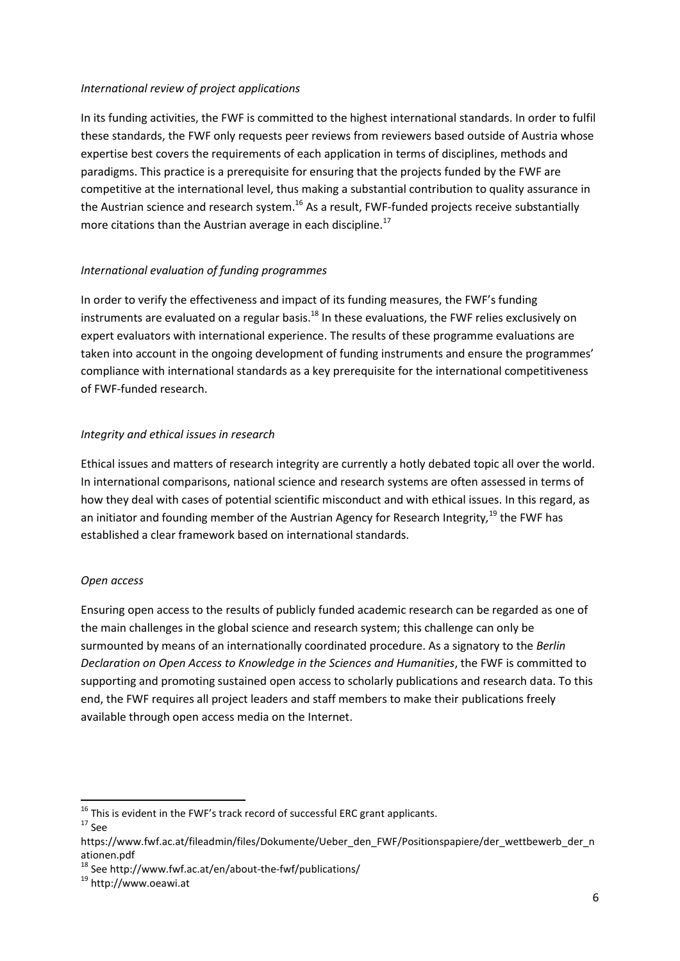### *International review of project applications*

In its funding activities, the FWF is committed to the highest international standards. In order to fulfil these standards, the FWF only requests peer reviews from reviewers based outside of Austria whose expertise best covers the requirements of each application in terms of disciplines, methods and paradigms. This practice is a prerequisite for ensuring that the projects funded by the FWF are competitive at the international level, thus making a substantial contribution to quality assurance in the Austrian science and research system.<sup>16</sup> As a result, FWF-funded projects receive substantially more citations than the Austrian average in each discipline.<sup>17</sup>

### *International evaluation of funding programmes*

In order to verify the effectiveness and impact of its funding measures, the FWF's funding instruments are evaluated on a regular basis.<sup>18</sup> In these evaluations, the FWF relies exclusively on expert evaluators with international experience. The results of these programme evaluations are taken into account in the ongoing development of funding instruments and ensure the programmes' compliance with international standards as a key prerequisite for the international competitiveness of FWF-funded research.

### *Integrity and ethical issues in research*

Ethical issues and matters of research integrity are currently a hotly debated topic all over the world. In international comparisons, national science and research systems are often assessed in terms of how they deal with cases of potential scientific misconduct and with ethical issues. In this regard, as an initiator and founding member of the Austrian Agency for Research Integrity*,* <sup>19</sup> the FWF has established a clear framework based on international standards.

### *Open access*

Ensuring open access to the results of publicly funded academic research can be regarded as one of the main challenges in the global science and research system; this challenge can only be surmounted by means of an internationally coordinated procedure. As a signatory to the *Berlin Declaration on Open Access to Knowledge in the Sciences and Humanities*, the FWF is committed to supporting and promoting sustained open access to scholarly publications and research data. To this end, the FWF requires all project leaders and staff members to make their publications freely available through open access media on the Internet.

 $^{16}$  This is evident in the FWF's track record of successful ERC grant applicants.  $17$  See

https://www.fwf.ac.at/fileadmin/files/Dokumente/Ueber\_den\_FWF/Positionspapiere/der\_wettbewerb\_der\_n ationen.pdf

 $18$  See http://www.fwf.ac.at/en/about-the-fwf/publications/

<sup>19</sup> http://www.oeawi.at